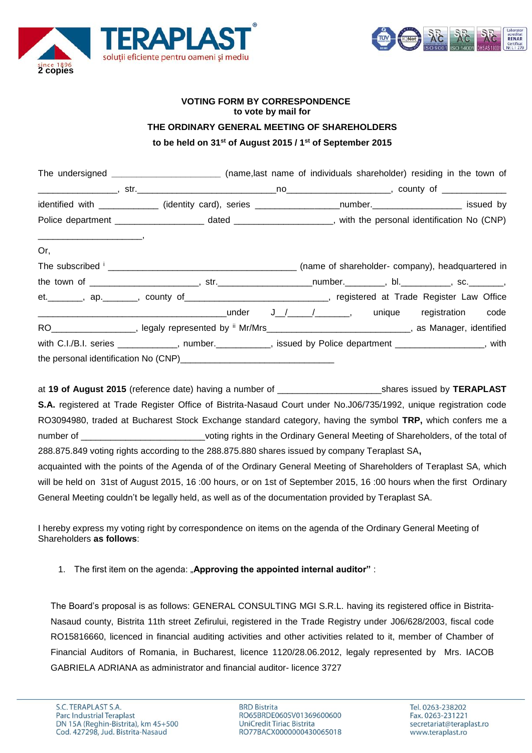



## **VOTING FORM BY CORRESPONDENCE to vote by mail for THE ORDINARY GENERAL MEETING OF SHAREHOLDERS to be held on 31st of August 2015 / 1st of September 2015**

|                                        | The undersigned __________________________(name,last name of individuals shareholder) residing in the town of  |  |  |  |
|----------------------------------------|----------------------------------------------------------------------------------------------------------------|--|--|--|
|                                        |                                                                                                                |  |  |  |
|                                        | identified with ____________ (identity card), series ____________________number.____________________ issued by |  |  |  |
|                                        |                                                                                                                |  |  |  |
| $\overbrace{\hspace{25mm}}^{n}$<br>Or, |                                                                                                                |  |  |  |
|                                        |                                                                                                                |  |  |  |
|                                        |                                                                                                                |  |  |  |
|                                        | et. ________, ap. _______, county of ______________________________, registered at Trade Register Law Office   |  |  |  |
|                                        |                                                                                                                |  |  |  |
|                                        | RO___________________, legaly represented by " Mr/Mrs_____________________________, as Manager, identified     |  |  |  |
|                                        | with C.I./B.I. series ____________, number._________, issued by Police department _______________, with        |  |  |  |
|                                        |                                                                                                                |  |  |  |

at **19 of August 2015** (reference date) having a number of **the state of the set of states issued by TERAPLAST S.A.** registered at Trade Register Office of Bistrita-Nasaud Court under No.J06/735/1992, unique registration code RO3094980, traded at Bucharest Stock Exchange standard category, having the symbol **TRP,** which confers me a number of **Example 20** voting rights in the Ordinary General Meeting of Shareholders, of the total of 288.875.849 voting rights according to the 288.875.880 shares issued by company Teraplast SA**,**

acquainted with the points of the Agenda of of the Ordinary General Meeting of Shareholders of Teraplast SA, which will be held on 31st of August 2015, 16 :00 hours, or on 1st of September 2015, 16 :00 hours when the first Ordinary General Meeting couldn't be legally held, as well as of the documentation provided by Teraplast SA.

I hereby express my voting right by correspondence on items on the agenda of the Ordinary General Meeting of Shareholders **as follows**:

1. The first item on the agenda: "**Approving the appointed internal auditor"** :

The Board's proposal is as follows: GENERAL CONSULTING MGI S.R.L. having its registered office in Bistrita-Nasaud county, Bistrita 11th street Zefirului, registered in the Trade Registry under J06/628/2003, fiscal code RO15816660, licenced in financial auditing activities and other activities related to it, member of Chamber of Financial Auditors of Romania, in Bucharest, licence 1120/28.06.2012, legaly represented by Mrs. IACOB GABRIELA ADRIANA as administrator and financial auditor- licence 3727

**BRD Bistrita** RO65BRDE060SV01369600600 UniCredit Tiriac Bistrita RO77BACX0000000430065018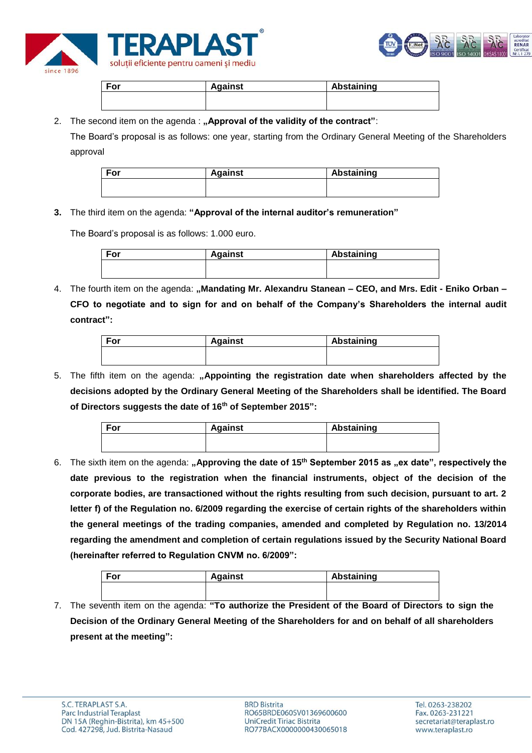



| For | <b>Against</b> | Abstaining |
|-----|----------------|------------|
|     |                |            |
|     |                |            |

2. The second item on the agenda : "Approval of the validity of the contract":

The Board's proposal is as follows: one year, starting from the Ordinary General Meeting of the Shareholders approval

| For | <b>Against</b> | Abstaining |
|-----|----------------|------------|
|     |                |            |
|     |                |            |

## **3.** The third item on the agenda: **"Approval of the internal auditor's remuneration"**

The Board's proposal is as follows: 1.000 euro.

| <b>Against</b> | Abstaining |  |
|----------------|------------|--|
|                |            |  |
|                |            |  |

4. The fourth item on the agenda: **"Mandating Mr. Alexandru Stanean – CEO, and Mrs. Edit - Eniko Orban – CFO to negotiate and to sign for and on behalf of the Company's Shareholders the internal audit contract":**

| For | <b>Against</b> | Abstaining |
|-----|----------------|------------|
|     |                |            |
|     |                |            |

5. The fifth item on the agenda: "Appointing the registration date when shareholders affected by the **decisions adopted by the Ordinary General Meeting of the Shareholders shall be identified. The Board of Directors suggests the date of 16th of September 2015":**

| For | <b>Against</b> | Abstaining |
|-----|----------------|------------|
|     |                |            |
|     |                |            |

6. The sixth item on the agenda: "Approving the date of 15<sup>th</sup> September 2015 as "ex date", respectively the **date previous to the registration when the financial instruments, object of the decision of the corporate bodies, are transactioned without the rights resulting from such decision, pursuant to art. 2 letter f) of the Regulation no. 6/2009 regarding the exercise of certain rights of the shareholders within the general meetings of the trading companies, amended and completed by Regulation no. 13/2014 regarding the amendment and completion of certain regulations issued by the Security National Board (hereinafter referred to Regulation CNVM no. 6/2009":**

| $T - r$<br>וט־ | aainst | Abstaining |  |
|----------------|--------|------------|--|
|                |        |            |  |

7. The seventh item on the agenda: **"To authorize the President of the Board of Directors to sign the Decision of the Ordinary General Meeting of the Shareholders for and on behalf of all shareholders present at the meeting":**